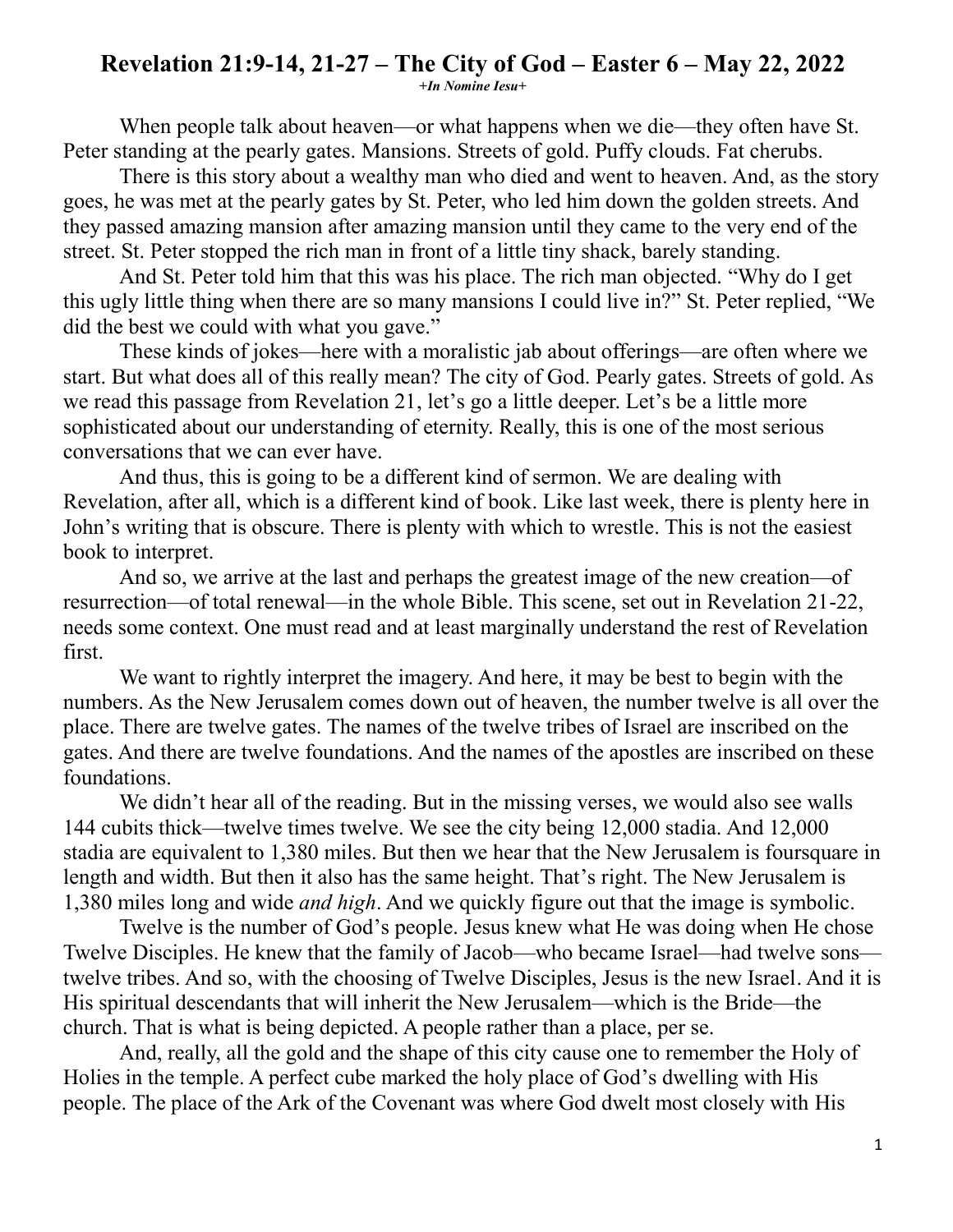## **Revelation 21:9-14, 21-27 – The City of God – Easter 6 – May 22, 2022**

**+***In Nomine Iesu+*

When people talk about heaven—or what happens when we die—they often have St. Peter standing at the pearly gates. Mansions. Streets of gold. Puffy clouds. Fat cherubs.

There is this story about a wealthy man who died and went to heaven. And, as the story goes, he was met at the pearly gates by St. Peter, who led him down the golden streets. And they passed amazing mansion after amazing mansion until they came to the very end of the street. St. Peter stopped the rich man in front of a little tiny shack, barely standing.

And St. Peter told him that this was his place. The rich man objected. "Why do I get this ugly little thing when there are so many mansions I could live in?" St. Peter replied, "We did the best we could with what you gave."

These kinds of jokes—here with a moralistic jab about offerings—are often where we start. But what does all of this really mean? The city of God. Pearly gates. Streets of gold. As we read this passage from Revelation 21, let's go a little deeper. Let's be a little more sophisticated about our understanding of eternity. Really, this is one of the most serious conversations that we can ever have.

And thus, this is going to be a different kind of sermon. We are dealing with Revelation, after all, which is a different kind of book. Like last week, there is plenty here in John's writing that is obscure. There is plenty with which to wrestle. This is not the easiest book to interpret.

And so, we arrive at the last and perhaps the greatest image of the new creation—of resurrection—of total renewal—in the whole Bible. This scene, set out in Revelation 21-22, needs some context. One must read and at least marginally understand the rest of Revelation first.

We want to rightly interpret the imagery. And here, it may be best to begin with the numbers. As the New Jerusalem comes down out of heaven, the number twelve is all over the place. There are twelve gates. The names of the twelve tribes of Israel are inscribed on the gates. And there are twelve foundations. And the names of the apostles are inscribed on these foundations.

We didn't hear all of the reading. But in the missing verses, we would also see walls 144 cubits thick—twelve times twelve. We see the city being 12,000 stadia. And 12,000 stadia are equivalent to 1,380 miles. But then we hear that the New Jerusalem is foursquare in length and width. But then it also has the same height. That's right. The New Jerusalem is 1,380 miles long and wide *and high*. And we quickly figure out that the image is symbolic.

Twelve is the number of God's people. Jesus knew what He was doing when He chose Twelve Disciples. He knew that the family of Jacob—who became Israel—had twelve sons twelve tribes. And so, with the choosing of Twelve Disciples, Jesus is the new Israel. And it is His spiritual descendants that will inherit the New Jerusalem—which is the Bride—the church. That is what is being depicted. A people rather than a place, per se.

And, really, all the gold and the shape of this city cause one to remember the Holy of Holies in the temple. A perfect cube marked the holy place of God's dwelling with His people. The place of the Ark of the Covenant was where God dwelt most closely with His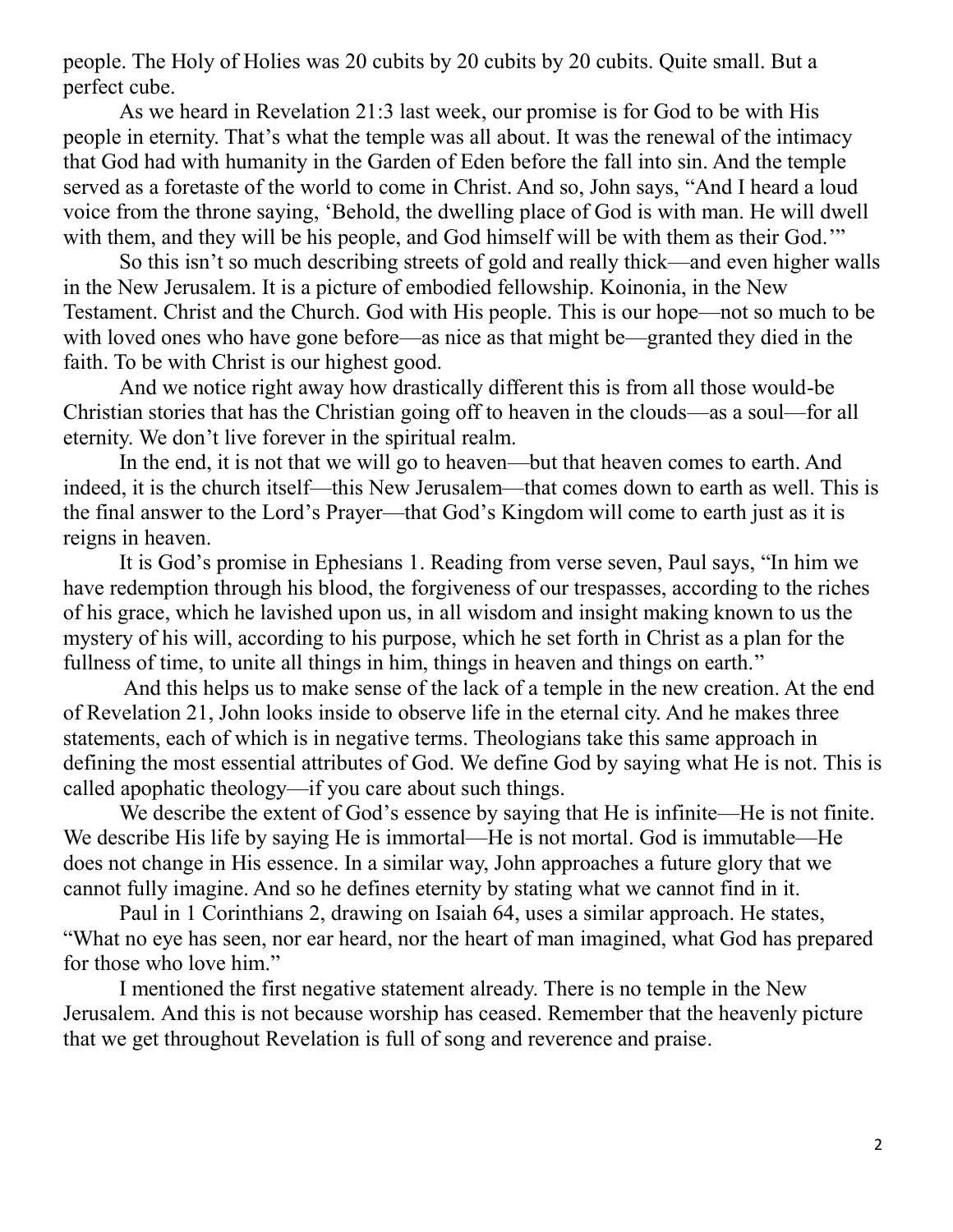people. The Holy of Holies was 20 cubits by 20 cubits by 20 cubits. Quite small. But a perfect cube.

As we heard in Revelation 21:3 last week, our promise is for God to be with His people in eternity. That's what the temple was all about. It was the renewal of the intimacy that God had with humanity in the Garden of Eden before the fall into sin. And the temple served as a foretaste of the world to come in Christ. And so, John says, "And I heard a loud voice from the throne saying, 'Behold, the dwelling place of God is with man. He will dwell with them, and they will be his people, and God himself will be with them as their God."

So this isn't so much describing streets of gold and really thick—and even higher walls in the New Jerusalem. It is a picture of embodied fellowship. Koinonia, in the New Testament. Christ and the Church. God with His people. This is our hope—not so much to be with loved ones who have gone before—as nice as that might be—granted they died in the faith. To be with Christ is our highest good.

And we notice right away how drastically different this is from all those would-be Christian stories that has the Christian going off to heaven in the clouds—as a soul—for all eternity. We don't live forever in the spiritual realm.

In the end, it is not that we will go to heaven—but that heaven comes to earth. And indeed, it is the church itself—this New Jerusalem—that comes down to earth as well. This is the final answer to the Lord's Prayer—that God's Kingdom will come to earth just as it is reigns in heaven.

It is God's promise in Ephesians 1. Reading from verse seven, Paul says, "In him we have redemption through his blood, the forgiveness of our trespasses, according to the riches of his grace, which he lavished upon us, in all wisdom and insight making known to us the mystery of his will, according to his purpose, which he set forth in Christ as a plan for the fullness of time, to unite all things in him, things in heaven and things on earth."

And this helps us to make sense of the lack of a temple in the new creation. At the end of Revelation 21, John looks inside to observe life in the eternal city. And he makes three statements, each of which is in negative terms. Theologians take this same approach in defining the most essential attributes of God. We define God by saying what He is not. This is called apophatic theology—if you care about such things.

We describe the extent of God's essence by saying that He is infinite—He is not finite. We describe His life by saying He is immortal—He is not mortal. God is immutable—He does not change in His essence. In a similar way, John approaches a future glory that we cannot fully imagine. And so he defines eternity by stating what we cannot find in it.

Paul in 1 Corinthians 2, drawing on Isaiah 64, uses a similar approach. He states, "What no eye has seen, nor ear heard, nor the heart of man imagined, what God has prepared for those who love him."

I mentioned the first negative statement already. There is no temple in the New Jerusalem. And this is not because worship has ceased. Remember that the heavenly picture that we get throughout Revelation is full of song and reverence and praise.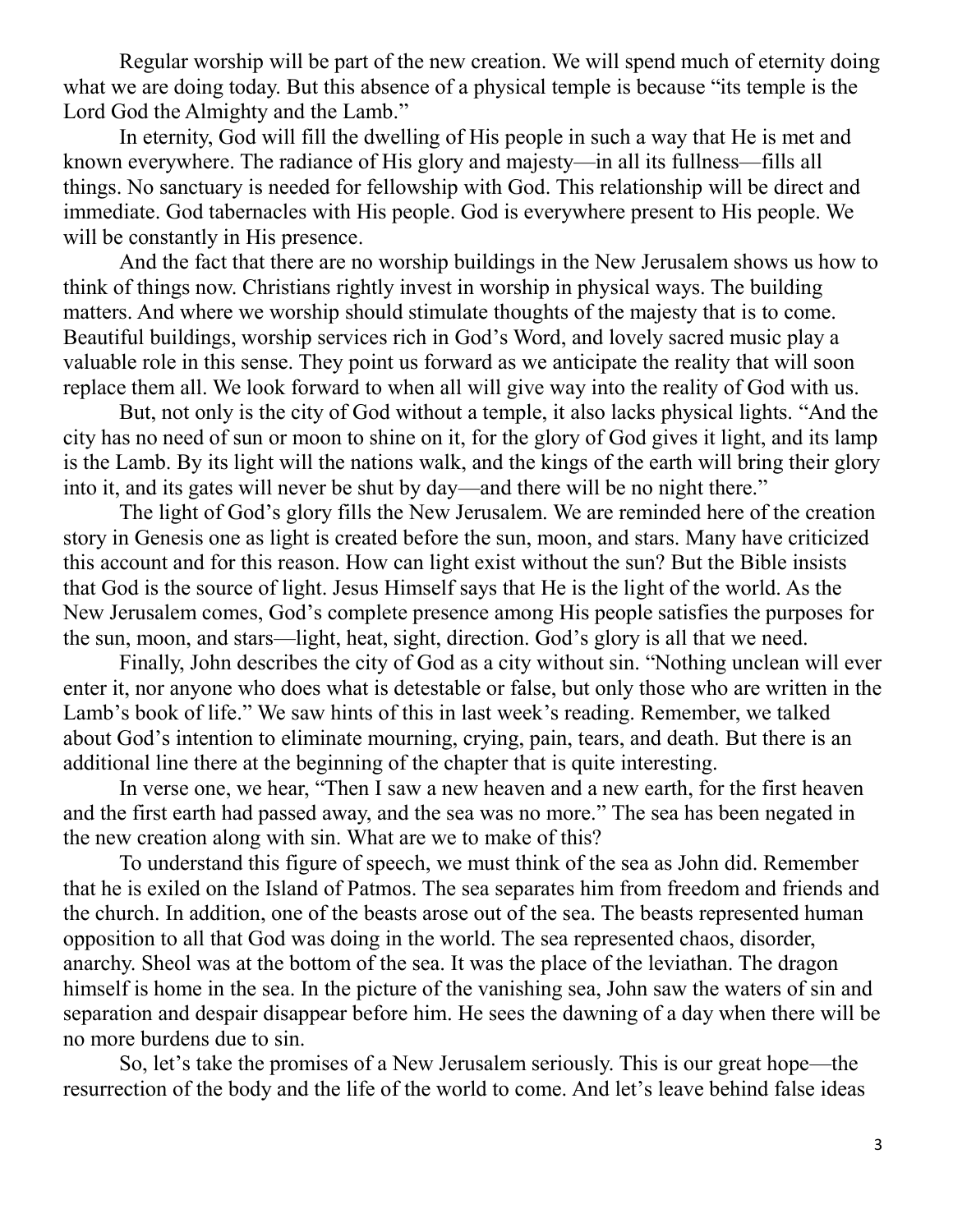Regular worship will be part of the new creation. We will spend much of eternity doing what we are doing today. But this absence of a physical temple is because "its temple is the Lord God the Almighty and the Lamb."

In eternity, God will fill the dwelling of His people in such a way that He is met and known everywhere. The radiance of His glory and majesty—in all its fullness—fills all things. No sanctuary is needed for fellowship with God. This relationship will be direct and immediate. God tabernacles with His people. God is everywhere present to His people. We will be constantly in His presence.

And the fact that there are no worship buildings in the New Jerusalem shows us how to think of things now. Christians rightly invest in worship in physical ways. The building matters. And where we worship should stimulate thoughts of the majesty that is to come. Beautiful buildings, worship services rich in God's Word, and lovely sacred music play a valuable role in this sense. They point us forward as we anticipate the reality that will soon replace them all. We look forward to when all will give way into the reality of God with us.

But, not only is the city of God without a temple, it also lacks physical lights. "And the city has no need of sun or moon to shine on it, for the glory of God gives it light, and its lamp is the Lamb. By its light will the nations walk, and the kings of the earth will bring their glory into it, and its gates will never be shut by day—and there will be no night there."

The light of God's glory fills the New Jerusalem. We are reminded here of the creation story in Genesis one as light is created before the sun, moon, and stars. Many have criticized this account and for this reason. How can light exist without the sun? But the Bible insists that God is the source of light. Jesus Himself says that He is the light of the world. As the New Jerusalem comes, God's complete presence among His people satisfies the purposes for the sun, moon, and stars—light, heat, sight, direction. God's glory is all that we need.

Finally, John describes the city of God as a city without sin. "Nothing unclean will ever enter it, nor anyone who does what is detestable or false, but only those who are written in the Lamb's book of life." We saw hints of this in last week's reading. Remember, we talked about God's intention to eliminate mourning, crying, pain, tears, and death. But there is an additional line there at the beginning of the chapter that is quite interesting.

In verse one, we hear, "Then I saw a new heaven and a new earth, for the first heaven and the first earth had passed away, and the sea was no more." The sea has been negated in the new creation along with sin. What are we to make of this?

To understand this figure of speech, we must think of the sea as John did. Remember that he is exiled on the Island of Patmos. The sea separates him from freedom and friends and the church. In addition, one of the beasts arose out of the sea. The beasts represented human opposition to all that God was doing in the world. The sea represented chaos, disorder, anarchy. Sheol was at the bottom of the sea. It was the place of the leviathan. The dragon himself is home in the sea. In the picture of the vanishing sea, John saw the waters of sin and separation and despair disappear before him. He sees the dawning of a day when there will be no more burdens due to sin.

So, let's take the promises of a New Jerusalem seriously. This is our great hope—the resurrection of the body and the life of the world to come. And let's leave behind false ideas